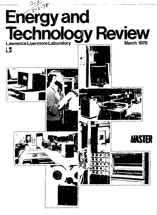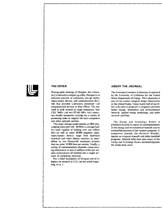

Photographic montage of Octopus, the Laboratory's interactive computing utility. Octopus is an exiensive network of computers, storage media, input/output devices, and communication channels that provides Laboratory personnel with computational services in their offices. The network is built around six large computers, four CDC 7600's and two STAR-100's, with numerous smaller computers carrying out a variety of processing tasks to support the main computers and other network services.

The major storage media include an IBM photodigital store and CDC 38500 mass storage facility—each capable of holding over one trillion bits—as well as some 40.000 magnetic tapes. Input/output devices range from keyboard terminals and video display monitors in users' offices to two Honeywell nonimpact printers that can print 18 000 lines per minute. Finally, a variety of communication channels—some moving information at tens of millions of bits per second—interconnect all facilities into a single ne' work of computing resources.

For a fuller description of Octopus and of its impact *on* research at LLL , see the article beginning on p. 1.

#### **THE COVER ABOUT THE JOURNAL**

The Lawrence Livcrmorc Laboratory is operated by the University of *California* for the United States Department of Energy. The Laboratory is one of two nuclear weapons design laboratories in the United Stales. Today nearly half of our effort is devoted to programs in magnetic and laser fusion energy, biomedical and environmental research, applied energy technology, and other research activities.

The *Energy and Technology Review* is published monthly to report on accomplishments in this energy and environmental research and on unclassified portions of the weapons program. A companion journal, the *Research Monthly,*  reports on weapons research and other classified programs. Selected titles from past issues of the *Energy and Technology Review* are listed opposite the inside back cover.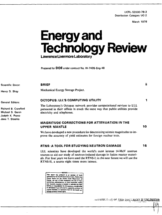UCRL-52000-78-3 Distribution Category UC-2

March 1978

jì.

1

10

16

# **Energy and<br>Technology Review** Lawrence Livermore Laboratory

Prepared for DOE under contract No. W-7405-Eng-48

Scientific Editor:

Henry D. Shay

**General Editors:** 

Richard B. Crawford Michael S. Genin Judyth K. Prono Jane T. Staehle

#### **BRIEF**

Mechanical Energy Storage Project.

#### **OCTOPUS: LLL'S COMPUTING UTILITY**

The Laboratory's Octopus network provides computational services to LLL personnel in their offices in much the same way that public utilities provide electricity and telephones.

#### **MAGNITUDE CORRECTIONS FOR ATTENUATION IN THE UPPER MANTLE**

We have developed a new procedure for determining seismic magnitudes to improve the accuracy of yield estimates for foreign nuclear tests.

#### **RTNS: A TOOL FOR STUDYING NEUTRON DAMAGE**

LLL scientists have developed the world's most intense 14-MeV neutron sources to aid our study of neutron-induced damage in fusion reactor materials. For four years we have used the RTNS-I: in the near future we will use the RTNS-II, a source eight times more intense.

-NOTICE This mport was perpared as an account of world and States nor the United States Department of rgy, nor any of their employees, nor any of their actors, subcontractors, or their employees, make ty, express or implied, or as mes any lega IV OF FROOM responsibility for the accuracy, co<br>em of any information, apparatus, saratus, nondura e za disclosed, or represents the are privately owned rights.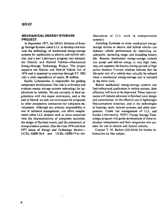#### **MECHANICAL ENERGY STORAGE PROJECT**

**In September 1977, the ERDA Division of Energy Storage Systems asked LLL to develop and evaluate the technology of mechanical energy-storage systems for application to electric and hybrid vehicles, and a new Laboratory program was initiated: the Electric and Hybrid Vehicle—Mechanical Energy-Storage Technology Project. The project supports the Electric and Hybrid Vehicle Act of 1976 and is expected to continue through FY 1982 with a total expenditure of nearly \$8 million.** 

**Sandia Laboratories is responsible for guiding component development. Our role is to develop and evaluate energy storage systems technology for applications to vehicles. We are currently in final negotiations with two major contractors, and at the end** *of* **March we sent out invitations for proposals to other prospective contractors for subsystem development. Although our primary responsibility is one of technical management, our effort complements other LLL projects such as those concerned with the characterization of composite materials, the design of flywheel rotors, and the assessment of transportation systems. (See the June 1976 and June 1977 issues of** *Energy and Technology Review—*  **UCRL-52000-76-6 and UCRL-52000-77-6-for** 

 $\ddot{\phantom{0}}$ 

**discussions of LLL work in transportation systems.)** 

**Including flywheels or other mechanical energystorage devices in electric and hybrid vehicles can enhance vehicle performance by improving acceleration, increasing range, and extending battery life. Because mechanical energy-storage systems can accept and deliver energy at very high rates, they can augment the battery during periods of high power demand. Current analyses indicate that the life-cycle cost of a vehicle may actually be reduced when a mechanical energy-storage unit is included in the drive train.** 

**Before mechanical energy-storage systems can find widespread application in vehicle systems, their efficiency will have to be improved. These improvements will include advances in flywheel rotor design and construction, in the effective use of lightweight fiber-composite materials, and in the technologies of bearings, seals, vacuum systems, and other components. Under the management of LLL and Sandia Laboratories, DOE's Energy Storage Technology program will guide development of these individual components and their integration into systems for use in electric and hybrid vehicles.** 

**Contact T. M. Barlow (422-6434) for further information on this subject.**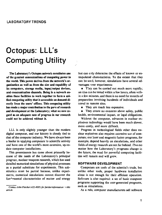## **Octopus: LLL's Computing Utility**

**The Laboratory's Octopus network constitutes one of the greatest concentrations of computing power in the worlil. This power derives from the network's organization as well as from the size and capability of its computers, storage media, input/output devices, and communication channels. Being in a network enables these facilities to work together to form a unified computing utility that is accessible on demand directly from the users' offices. This computing utility has made** a **major contribution to the pare of research and development at the Laboratory; what we now regard as an adequate rate of progress in our research could not be achieved without it.** 

LLL is only slightly younger than the modern digital computer, and our history is closely tied to that of the computer industry. We have always been a leader in applying computers to scientific activity and have one of the world's most extensive, up-todate computer installations.

This preeminence has come about primarily because of the needs of the Laboratory's principal program, nuclear weapons research, which has used detailed numerical simulations of physical processes as a partial substitute for experiments. This substitution must be partial because, unlike experiments, numerical simulations cannot discover the fundamental characteristics of matter and energy but can only determine the effects of known or extrapolated characteristics. To the extent that they can be used, however, simulations have several advantages over experiments:

 $\bullet$  T'ey can be carried out much more rapidly; an idea can be tested within a few hours, often within a few minutes, and there is no need for months of preparation involving hundreds of individuals and travel to remote sites.

• They are much less expensive.

• They create no concerns about safety, public health, environmental impact, or legal obligations.

Without the computer, advances in nuclear explosives technology would have been much slower, more costly, and more difficult.

Progress in technological fields other than nuclear explosives also requires extensive use of computers; our laser and magnetic fusion programs, for example, depend heavily on simulations, and other fields of energy research are not far behind. Thus no matter how the Laboratory's programs change in the future, the need for powerful computing facilities will remain and will grow.

#### **SOFTWARE DEVELOPMENT**

Computers are tools of the scientist's trade, but unlike other tools, proper hardware installation alone is not enough for their efficient operation. Software is also required: a set of basic computer programs supporting the user-generated programs, such as simulations.

As a rule, computer manufacturers sell software

*Contact John Fletcher (422-40351 for further information •• n this article.*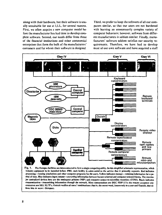along with their hardware, but their software is usually unsuitable for use at LLL. for several reasons. First, we often acquire a new computer model before the manufacturer has had time to develop complete software. Second, our needs differ from those of the financial institutions and other commercial enterprises that form the bulk of the manufacturers' customers and for whom their software is designed

Third, we prefer to keep the software of all our computers similar, so that our users are not burdened with learning an unnecessarily complex variety of computer behaviors; however, software from different manufacturers is seldom similar. Finally, manufacturers' software seldom satisfies our security requirements. Therefore, we have had to develop most of our own software and have acquired a staff



**Fig. 1 . The Octopus facilities are interconnected to form a single computing utility. In this simplified schematic representation, which includes equipment to be installed before 1980, each facility is color-coded to the service that it primarily supports. Red indicates processing—running simulations and other computer programs for the users. Yellow indicates storage—retaining information For a pe**riod of time. Blue indicates input/output—converting information between huggan-oriented and computer-oriented forms. The two ma**jor centralized devices here are the nonimpact printers (NIP) and computer-output-to-microfilm recorders (COM). Black indicates communication—transmitting information through the network. Most concentrators are DEC PDP-ll's: the remote computer concentrators are SEL 32/75's. Ostrich verifies all users\* combinations (that is, the secret word, known only to a user and Ostrich, that allows hint to accer; Octopus).**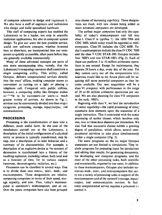of computer scientists to design and implement it. We also have a staff of engineers and technicians who design and build specialized hardware.

This staff of computing experts has enabled the Laboratory to be a leader, not only in scientific computer applications, but also in computer system design. To give our users the best possible service, useful new software concepts, whether invented here or elsewhere, are incorporated into our computers as quickly as possible, often years before they are generally available commercially.

Many of these advanced concepts are parts of one more encompassing idea, namely, that the Laboratory's computing resources shall constitute a single computing utility. This utility, called Octopus, delivers computational services directly into the users' offices, making computer access as convenient as turning on a light or placing a telephone call. Compared with public utilities, however, a computing utility like Octopus makes av<sup>-1-1</sup>ble to its customers—or users—a much greater variety of services. As shown in Fig. i, services can be conveniently divided into four majcr categories: processing, storage, input/outpui, ind communication.

#### **PROCESSING**

Processing is the transformation of data into a different, more useful form. In the case of the simulations carried out at the Laboratory, a description of the initial configuration of a physical entity or process is typically transformed, step by step, into a description of its later behavior and a summary of its characteristics. For example, a description of an explosive device at 'he moment of detonation is transformed into a history of the resulting explosion, including values, both total and as a function of time, for its various outputs (neutrons, electromagnetic radiation, etc.).

Processors can be classified in several ways. One is to divide them into micro-, mini-, midi-, and maxicomputers. These designations are relative, comparing computers in terms of their speed, storage capacity, and cost. Thus, today's maxicomputer is tomorrow's midicomputer, and so on. Over the years, computers have also been grouped

into classes of increasing capability. These designations are fixed, with new classes being added as more advanced computers are developed.

The earliest major computers had only the capability of today's minicomputers and fall into class I. Class II is typified by the IBM 7094 and CDC 3600, which today would be regarded as midicomputers. Class III includes the CDC 6600. Today's maxicomputers include the class IV CDC 7600 and the class V CDC STAR-100. Octopus includes four 7600's and two STAR-IOO's (Fig. 2). Each of these can perform 3 to 10 million arithmetic operations in one second. Except for maintenance, they operate 24 hours a day, every day of the year. Yet they cannot carry out all the computations LLL scientists would like to do; future plans call for acquiring still more powerful computers as they become available. Our next acquisition will be a class VI computer with performance in the range of 20 to 60 million arithmetic operations per second. We are also planning for class VII computers in the early 1980's.

Beginning with class V, we find the introduction of vector capability—the rapid processing of many successive data elements upon the execution of a single instruction. This is contrasted with the scalar processing of earlier classes, which involves only one, two, or three data elements per instruction. We also find that successive classes exhibit a growing degree of parallelism, which allows several computational activities to take place simultaneously within a single computer (Fig. 3).

The users' programs on the six major Octopus computers are not limited to simulations. They include programs for preparing input for simulations and editing their results, for generating documents, for developing new computer programs, and for most of the other processing tasks, both scientific and nonscientifie, required by our users. In addition to these maxicomputers, Octopus also includes numerous midi-, mini-, and microcomputers that carry out a variety of processing tasks in support of the maxicompulers and of the network's storage, input/ output, and communication services. In fact, every computational service requires a processor ti control it.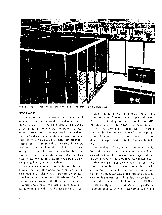

Fig. 2. One of the four Octopus CrH. 7600 computers with tape farm in the background.

#### **STORAGE**

Storage media retain information for a period of time so that it can be recalled on demand. Some storage devices-the main memories and magnetic disks of the various Octopus computers-directly support processing by holding initial, intermediate, and final values of compatations in progress. Similarly, other subrage devices directly support input output and communication services. However, there is a considerable need at 111 for nermanent storage that can hold a user's information for days. months, or even years until he needs it again. This need reflects the fact that scientific research and development is a cumulative activity.

Storage devices are measured in terms of bits, the fundamental unit of information. A bit is what can be stored in an elementary hardware component that has two states, on and off. About 35 million bits are needed to store the Bible in a computer.

While some permanent information in Octopus is stored on magnetic disks and other devices with ca-

pacities of np to several billion bits, the bulk of it is stored on about 40,000 magnetic tapes and on two devices, each holding (wer one trillion bits: the IBM photodigital store (photostore) and the recently acquired CDC 38500 mass storage facility. Including shelved film that has been removed from the photostore. Octopus currently stores about ten trillion bits, or the conivalent of one-third of a million Bibles.

I uture plans call for adding an automated facility to handle magnetic tanes, which must now be handcarried back and forth between a storage vault and the computers. At the same time, we will begin converting to a new high-density tape that can hold about a billion bits per tape-ten times the capacity of our present tapes. Further plans are to acquire still more storage capacity in the form of a single device holding at least ten trillion bits; such devices are expected to become available in the early 1980's.

Permanently stored information is logically divided into units called files. Files vary in size from a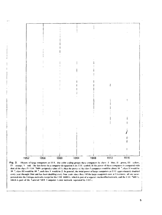

Fig. 3. History of large computers at 1.1 L. The color coding groups these computers by class: 1 blue, 11 green, III yellow, 1V orange, V red. The last letter in a computer designation is its 1.1.1, symbol. If the power of these computers is compared with that of the class IV CDC 7600 cassigned a value of 1), then the power of the class I computers would be about 10<sup>-3</sup>, class II would be 10<sup>-2</sup>, class III would be 10<sup>-2</sup>, and class V would be 2. In general, the total power of large computers at 1.1.1 approximately doubled every year through 1964 and has been doubling every four years since then. Of the large computers now at I ivermore, all are incorporated into the Octopus network except for the CDC 6600 G, which is part of a separate unclassified network, and the CDC "600 A, which is part of the National MEF Computer Center network coperated by LLL).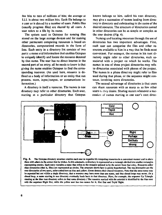**few bits to tens of millions of bits; the average at LL1. is about two million bits. Each file belongs to a user or is shared by a number of users. Public files (usually program files) are shared by all users. A user refers to a file by its name.** 

**The system used in Octopus for naming files stored on the large storage devices and for naming other permanent computing resources is based on directories, computerized records in the form of lists. Each entry in a directory list consists of two parts: a name and information that enables Octopus to uniquely identify and locate the resource denoted by that name. The user has no direct interest in the second part of an entry; all he needs to know is that giving the name enables Octopus to find the corresponding resource. (As used here,** *resource* **is defined as a body of information or an entity that can process, store, input/output, or communicate information.)** 

**A directory is itself a resource. The names in one directory may refer to other directories. Each user, starting at a particular directory that Octopus** 

**knows belongs to him, called his root directory, may give a succession of names leading from directory to directory and culminating in the name of the desired resource. The structure of directories named in other directories can be as simple or complex as the user desires (Fig. 4).** 

**Naming and locating resources through the use of directories has two important advantages. First, each user can categorize the files and other resources available to him in a way that he finds most**  convenient. For example, the names in his root di**rectory might refer to other directories, each associated with a project on which he works. The names in one of these project directories may refei to directories associated with phases of the project. The names in a phase directory might refer to files used during that phase, or the sequence might continue, involving more directories.** 

**The second advantage of directories is that users can share resources with as many oi as few other users as they desire. Sharing occurs whenever a succession of names starting in one user's root direc-**



**Fig. 4 . The Octopus directory structure enables each user to organize his computing resources in a convenient manner and to share them with others to the extent that he wishes. In this schematic, a directory is represented as a rectangle divided into smaller rectangles representing entries. Each entry contains a name that refers to the resource pointed to by the arrow from that entry. Resources other**  than directories (that is, files) are represented as circles. The structure shown here is purely hypothetical. The top directories are the **root directories of two users, color-coded here as blue and yellow. Green denotes their shared resources. Note that the same name may be repeated but not within a single directory, that a resource may have more than one name, and that closed loops may occur. (In a closed loop, a name starting In one directory eventually leads back to that directory. Here, for example, the sequence Up Triangle starting at the blue root directory refers to that same directory.) The resource marked with the asterisk is identified by the blue user**  with the sequence Right Dot, while the yellow user has two names for it, Hot Dot and Tepid Right.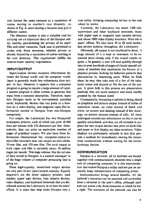**ton' locates the same resource as a succession of names starting in another's root directory. As shown in Fig. 4, users sharing a resource may give it different names.** 

**The directory system is also a valuable tool for carrying out an important duty of the Octopus utility, namely, guaranteeing the privacy of its users' files and other resources. Each user is permitted to access only those resources, whether private** *or*  **shared, located by a succession of names starting at his root directory. This requirement fulfills the need-to-know security requirement.** 

#### **INPUT/OUTPUT**

**Input/output devices translate information between the human world and the computer world. Input is generally much less voluminous than output. In fact, whenever it appears that a computer program is going to require a large amount of input, a second program is often written to generate that input from a compact description. Therefore, input into Octopus tends to be conventional: punched cards, keyboards, devices that can point to a location on a video display, and magnetic tapes (for information carried to Octopus from non-Octopus computers).** 

**For output, the Laboratory has two Honeywell nonimpact printers, each of which can print 18 000 lines per minute with 132 characters per line. Alternatively, they can print an equivalent number of pages of graphical output. We also have three Information International Inc. computer-output-tomicrofilm recorders that can output on microfiche, 35-mm film, and 105-mm film. The total output to both paper and film is currently about 10 million pages per month. This huge volume, like the volume of data stored in Octopus, is a natural consequence of the huge volume of computer processing that is going on.** 

**These high-capacity, centralized output devices are only part of our input/output capacity. Equally important are the lower capacity printers, card readers, paper tape devices, tape cassette devices, video displays, and keyboard terminals that are distributed around the Laboratory in or near the users' offices. It is these that help make Octopus into a**  **true utility, bringing computing service to the user where he works.** 

**Currently, the Laboratory has about 1300 teletypewriters and other keyboard terminals, many with paper tape oi magnetic tape cassette devices, and about 1000 video display monitors. Most are in users' offices. We also have 30 to 40 card reader/ line printer stations throughout the Laboratory.** 

**Obviously, all output is not examined in detail. A large amount of it is kept as insurance, to be examined more closely only if the overall results require a. In general, a user will scan quickly through tens or even hundreds of pages of closely spaced columns of numbers that summarize the history of a physical process, looking for behavior patterns that characterize its interesting parts. When he finds them, he may then take note of a few of the tabulated values and discard or file the rest of the output. A great help in this process are presentation methods that are more compact and more readily grasped by the human mind.** 

**Consequently, increasing emphasis is being placed on graphical and picture output instead of tables of numerical values, on color instead of black and white, on texture and shading instead of line drawings, on motion pictures instead of stills. All these techniques concentrate information so that it can be quickly assimilated, and they are all included in our plans for new output devices that print on both film and paper or that display on video monitors. Video displays are particularly valuable in that they provide a medium for immediately viewing the output from computations without waiting for the slower hardcopy devices.** 

#### **COMMUNICATION**

**Octopus is a network: all its facilities are bound together with communication channels into a single**  web of computing *resources*. It is this interconnec**tion that makes Octopus a utility and not just an unusually large concentration of computing power.** 

**Interconnection brings several benefits. All the network's resources can be accessed and controlled from a terminal in the user's office, although each user can access only those resources to which he has a right. The resources of the network can also be**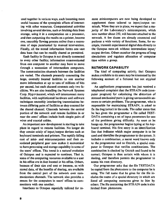**used together in various ways, each becoming more useful because of the synergistic effects of interacting with other resources. Computational activities involving several devices, such as fetching data from storage, using it in a computation on a processor, and then outputting the results on a printer, become one, smoothly flowing process rather than a succession of steps punctuated by manual intervention. Finally, all the stored information forms one vast data base that can be readily shared as permitted.** 

**Each facility in Octopus is not directly connected to every other facility; information communicated from one computer to another may have to move through a succession of intermediate computers. The communication channels between the facilities are varied. The channels presently connecting the large, centrally located facilities to one another move information at up to tens of millions of bits per second, but each channel connects only two facilities. We are also installing the Network Systems Corp. Hypershannel, which will interconnect many facilities, with sophisticated hardware and software techniques smoothly interleaving transmissions between differing pairs of facilities as they contend for the shared channel. Channels between the central portion of the network and remote facilities in or near the users' offices include both simple pairs of wires and coaxial cables.** 

**An important new development is starting to take place in regard to remote facilities. No longer do they consist solely of input/output devices such as keyboard terminals and printers. The rapidly falling cost of mini- and microcomputers and their associated peripheral gear now makes it economical to have processing and storage capability in some of the users' offices. This trend is a natural evolution of Octopus and is expected to continue. That is, some of the computing resources available to a user in his office are in fact located in his office. Others, because of their size and cost or because, as with stored data, of the benefits of sharing, are available from the central part of the network over communication channels. The network also provides a means for the computers in users' offices to communicate with one another.** 

**Interfaces to Octopus especially tailored for re-**

**mote minicomputers are now being developed to supplement those tailored to input/output terminals. When they are in place, we expect that a majority of the Laboratory's minicomputers, which now number about 250, will become attached to the network. A few dozen are already connected and perform a wide variety of functions. Some, for example, transmit experimental digital data directly to the Octopus network without intermediate input/ output devices. Others monitor the progress of long simulations and regulate allocation of computer time within a group.** 

#### **NETWORK CAPABILITY**

**The kind of computing activity that Octopus makes available to its users may be illustrated by the following account of a fictional but not atypical user.** 

**An applications programmer has just received a telephoned complaint that the STRAIN code (computer program) for calculating the distortion of stressed mechanical parts is giving unreasonable answers to certain problems. The programmer, who is responsible for maintaining STRAIN, is asked to fix the bug (error) in the code. The caller states that he has given the programmer a file called TEST-DATA containing a set of input parameters for one of the problems giving difficulty. As soon as he hangs up, the programmer begins typing at his keyboard terminal. His first entry is an identification line that indicates which major computer is to be used and identifies the programmer to the system. It includes a combination, a secret word known only to the programmer and to Ostrich, a special computer in Octopus that verifies combinations. The combination is checked by Ostrich and found to be correct; Octopus is then certain with whom it is dealing, and therefore permits the programmer to access his root directory.** 

**Our programmer asks that the file TESTDATA be copied from the photostore to the computer he is using. The full name that he gives for the file includes the name of a special directory in which are listed all computing resources given to him by others. The file containing the STRAIN code is also fetched from photostore.**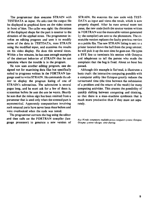**The programmer then executes STRAIN with TESTDATA as input. He asks that the output file be displayed in graphical form on the video screen in front of him. The caller was right: the distortion of the displayed shape for the part is counter to the direction of the applied stress. The programmer invokes an editing program and uses it to modify some of the data in TESTDATA, runs STRAIN using the modified input, and examines the results on his video display. He does this several times. Within a few minutes, he has seen enough examples of the aberrant behavior of STRAIN that he can speculate where the trouble is in the program.** 

**He now uses another editing program, one designed not for examining data files but specifically suited to programs written in the FORTRAN language used to write STRAIN. He commands the editor to display the program listing of one of STRAIN'S subroutines. The subroutine is several**  pages long, and he must ask for a few of them in **succession before he sees the one he wants. Shortly he sees that the minus sign has been omitted from a parameter that is used only when the stressed part is asymmetrical. Apparently computations involving such unusual parts have never been done before and were overlooked when the code was tested.** 

**The programmer corrects the bug using the editor and then calls on the FORTRAN compiler (language processor) to generate a new version of**  **STRAIN. He executes the new code with TEST-DATA as input and views the result, which is now properly shaped. After he runs several more test cases, the new code (both the source version written in FORTRAN ano the executable version generated by the compiler) are sent to the photostore. The executable version replaces the faulty previous version as a public file. The new STRAIN listing is sent to a printer located down the hall from the programmer; he will pick it up the next time he goes out. He types a BYE line to terminate his session with Octopus and telephones to tell the person who made the complaint that the bug is fixed. About an hour has passed.** 

**Although this example is ficl'onal, it illustrates a basic truth: the interactive computing possible with a computer utility like Octopus greatly reduces the turnaround time (the time between the submission of a problem and the return of the result) for many computing activities. This creates the possibility of quickly shifting between computing and thinking, so that there is a man-machine symbiosis that is much more productive than if they must act separately.** 

*Key Words: computers: multiple access computer system: Octopus:*  Octopus system-design: time-sharing.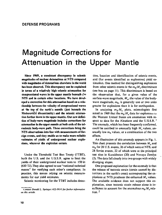### Magnitude Corrections for Attenuation in the Upper Mantle

**Since 1969, a consistent discrepancy in seismic magnitudes of nuclear detonations at NTS compared with magnitudes of detonations elsewhere in the world has been observed. This discrepancy can be explained in terms of a relatively high seismic attenuation for compressions! waves in the upper mantle beneath** *t!<e*  **NTS and in certain other locations. We have developed a correction for this attenuation based on a relationship between the velocity of compressional waves at the top of the earth's mantle (just beneath the Mohorovicic discontinuity) and the seismic attenuation further down in the upper mantle. Our new definition of body-wave magnitude includes corrections for attenuation in the upper mantle at both ends of the teleseismic body-wave path. These corrections bring the NTS observations into line with measurements of foreign events, and they enable us to make more reliable estimates of yields of underground nuclear explosions, wherever the explosion occurs.** 

Under the Threshold Test Ban Treaty (TTBT), both the U.S. and the U.S.S.R. agree to limit the yields of their underground nuclear tests to 150 kt (630 TJ).They also agreed to use "national technical means" for verifying each other's compliance. In practice, this means relying on seismic measurements for our yield estimates.

Seismic monitoring for the TTBT includes detec-

tion, location and identification of seismic events, and (for events identified as explosions) yield estimation. One method for distinguishing explosions from other seismic events is the  $m_h M_s$  discriminant (see box on page 11). This discriminant is based on the observation that, for a given value of the surface-wave magnitude,  $M<sub>s</sub>$ , the value of the bodywave magnitude,  $m_h$ , is generally one or two units greater for explosions than it is for earthquakes.

In analyzing *ntb:M<sup>s</sup>* plots, seismologists first noted in 1969 that the  $m_b$ *M*<sub>s</sub> data for explosions m the Western United States are anomalous with respect to data for the Aleutians and the U.S.S.R.<sup>1</sup> The anomaly, which has been frequently confirmed, could be ascribed to unusually high  $M_s$  values, unusually low  $m<sub>b</sub>$  values, or a combination of the two effects.

An illustration of this anomaly appears in Fig. 1. This chart presents the correlation between  $M_s$  and *mb* for 28 U.S. events, 26 of which were at NTS, and 28 Soviet events, 22 of which were at the principal test sites in Kazakhstan (20) and Novaya Zemlya (2). The data fall clearly into two groups with widely diverging slopes.

One proposed explanation for the anomaly is that the release of tectonic strain (strain caused by distortions in the earth's crust) accompanying the explosions at NTS produces the enhanced  $M_s$  values. The available evidence does not support this explanation, since tectonic strain release alone is insufficient to account for the anomalous *mb:M<sup>s</sup>* relation.

*Contacl Donald L. Springer 1422-39141 for further information*  on this article.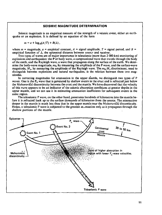#### **SEISMIC MAGNITUDE DETERMINATION**

**Seismic magnitude is an empirical measure of the strength of a seismic event, either an earthquake or an explosion. It is defined by an equation of the form** 

 $m = a + \log_{10}(A/T) + B(\Delta)$ ,

where  $m =$  **magnitude,**  $a =$  **empirical constant,**  $A =$  **signal amplitude,**  $T =$  **signal period,** and  $B =$ empirical function of  $\Delta$ , the epicentral distance between source and receiver.

**Two types of waves are of major importance in teleseismic (more than 2 000-km) monitoring of explosions and earthquakes: the P or body wave, a compressional wave that travels through the body of the earth, and the Rayleigh wave, a wave that propagates along the surface of the earth. We deter**mine the body-wave magnitude,  $m_b$ , by measuring the amplitude of the P wave, and the surface-wave **magnitude, A/<sup>s</sup> . by measuring the amplitude of the Rayleigh wave. The** *m\,:M<sup>s</sup>*  **discriminant, used to distinguish between explosions and natural earthquakes, is the relation between these two magnitudes.** 

**In correcting magnitudes for attenuation in the upper mantle, we distinguish two types of P waves. One is the P<sub>n</sub> wave that is generated by shallow events in the crust and is refracted just below the Mohorovicic discontinuity between the crust and the mantle. We have discovered that the velocity of this wave appears to be an indicator of the seismic absorption conditions at greater depths in the upper mantle, and we can use it in estimating attenuation coefficients for subsequent events in the same region.** 

**The teleseismic P wave, on the other hand, penetrates hundreds of kilometres into the mantle before it is refracted back up to the surface thousands of kilometres from the source. The attenuation deeper in the mantle is much less than that in the upper mantle near the Mohorovicic discontinuity. Hence, a teleseismic P wave is subjected to the greatest atunuation only as it propagates through the shallow portions of the mantle.** 

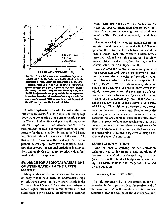

Fig. 1. A plot of surface-wave magnitude, M., vs the conventionally defined body-wave magnitude, m., for 56 different explosions, equally divided between U.S. and Soviet shots (of which 26 were at NTS, 20 at the Soviet proving ground at Kazakhstan, and 2 at Novaya Zerdya in the Arctic Ocean). The data clearly fall into two categories, with the NTS explosions in one group and the Soviet explosions in another. Anomalous attenuation of the body waves in the upper mantle beneath NTS appears to account for most of the difference between the two sets of data.

Another explanation, for which considerable seismic evidence exists,  $3$  is that there is unusually high body-wave attenuation in the upper mantle beneath the Western United States, depressing the  $m<sub>b</sub>$  values for NTS explosions. If we assume that this is the case, we can formulate correction factors that compensate for the attenuation, bringing the NTS data into line with data from the rest of the world, <sup>4</sup> In this article we examine the evidence for this explanation, develop a body-wave magnitude definition that corrects for regional variations in attenuation, and apply this correction to seismic data for a worldwide set of explosions.

#### **EVIDENCE FOR REGIONAL VARIATIONS** OF ATTENUATION IN THE UPPER **MANTLE**

Many studies of the amplitudes and frequencies of body waves have detected anomalously high s<sup>o</sup> nic-wave absorption in the upper mantle in the W stern United States.<sup>5</sup> These studies consistently report higher attenuation in the Western United States than in the Eastern, sometimes by a factor of

three. There also appears to be a correlation between the unusual attenuation and observed patterns of P- and S-wave slowing (late arrival times). upper-mantle electrical conductivity, and heat  $10w<sup>6</sup>$ 

Regional variations in upper-mantle absorption are also found elsewhere, as in the Baikal Rift region and the transitional zone between Asia and the Pacific Ocean. Like the Western United States, these two regions have a thin crust, high heat flow, high electrical conductivity, low density, and low seismic velocities in the upper mantle.

We explored the interrelations among some of these parameters and found a useful empirical relation between seismic velocity and seismic attenuation. This is illustrated in Fig. 2, a composite plot that presents curves of body-wave-magnitude residuals (the deviations of specific body-wave magnitude measurements from the average) and of average attenuation factors versus P<sub>n</sub>-wave velocity and P-wave velocity, respectively. Note that there is a sudden change in each of these curves at a velocity of 8.1 km/s. Thus, although the reasons for the correlation between  $P_n$ -wave and P-wave velocities and body-wave attenuation are unknown (in the sense that we are unable to calculate the effect from first principles), we have strong evidence that such a correlation does exist, that there are regional variations in body-wave attenuation, and that we can use the measurable variations in  $P_n$ -wave velocity to estimate the rate of attenuation.

#### **CORRECTION METHOD**

Our first step in applying this new correction technique was to formulate a new definition of body-wave magnitude, designated  $m<sub>O</sub>$  to distinguish it from the standard body-wave magnitude,  $m<sub>b</sub>$ . The corrected body-wave magnitude is defined by the equation

$$
m_{\rm O} = m_{\rm h} + RC + SC + DC
$$
.

In this expression  $RC$  is the correction for attenuation in the upper mantle at the receiver end of the wave path, SC is the similar correction for attenuation near the source of the disturbance, and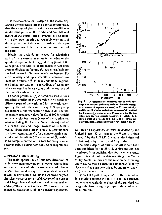*DC* is the correction for the depth of the source. Separating the correction into parts serves to emphasize that the values of the correction terms are different in different parts of the world and for different depths of the source. The attenuation is also greatest in the upper mantle and negligible over most of the deep portion of the wave path—hence the separate corrections at the source and receiver ends of the path.

Ideally, the b isic datum needed for calculating each of these correction terms is the value of the specific dissipation factor,  $Q_{\alpha}$ , at every point in the wave path. This ideal is unattainable: in fact even average dissipation factors,  $\overline{Q}_a$ , are unavailable for much of the world. Our new correlation between  $P_{n-}$ wave velocity and upper-mantle attenuation enabled us to estimate  $\overline{Q}_n$  for many additional regions. We limited our data set to recordings of events for which we could estimate  $\overline{Q}_n$  at both the source and the receiver ends of the path.

To derive profiles of  $Q_\alpha$  vs depth, we used various published profiles of P-wave velocity vs depth for different parts of the world and for the world average, together with the curve in Fig. 2. Step-by-slep calculations of the attenuation down to 700 km into the mantle produced values for  $\overline{Q}_{\alpha}$  of 800 for shield and stable-platform areas (most of the continental areas including the Eastern United States) and of 275 for the Basin and Range Province where NTS is located. (Note that a larger value of  $Q_{\alpha}$  corresponds to a lower attenuation.  $Q_{\alpha}$  for a nonattenuating material would be infinite.) These values of  $\widetilde{Q}_\alpha$  enabled us to compute correction factors for every sourcereceiver pair, yielding new body-wave magnitudes,  $m_{\Omega}$ .

#### **APPLICATIONS OF** *m <sup>a</sup>*

The main applications of our new definition of body-wave magnitude are to remove a regional bias in standard magnitude measurements of distant seismic events and to improve our yield estimates of distant nuclear events. To this end we have analyzed the seismic records for a worldwide set of 46 nuclear and 2 large chemical explosions and determined *m<sup>b</sup>* and  $m<sub>O</sub>$  values for each of them. We have also determined  $M_s$  values for 43 of the 46 nuclear explosions.



**Fig. 2. A composite plot combining data on body-wave magnitude residuals individual variations from the average of a number of separate measures) vs P,-wave velocity, and the specific dissipation factor (a measure of attenuation)**  for P waves,  $Q_2$ , plotted vs local P-wave velocity. The two **sets of data are from separate measurements, yet they both show a break at a velocity of 8.1 km/s. This is strong evidence for a real connection between P-wave velocity and** *Qa.* 

Of these 48 explosions, 38 were detonated by the United States (32 of them in the Western United States), 7 by the U.S.S.R. (including the 2 chemical explosions), 2 by France, and 1 by India.

The yields, depths of burial, and other data have been published for the 38 U.S. explosions and can be inferred from published data for the other events. Figure 3 is a plot of this data (omitting four Yucca Valley events) in ierms of the relation between  $m<sub>O</sub>$ and yield. As may be seen, the data points fall fairly close to a single line determined by regression analysis (least-squares fitting).

Figure 4 is a plot of  $m<sub>O</sub>$  vs  $M<sub>s</sub>$  for the same set of 56 explosions plotted in Fig. I. Using the corrected body-wave magnitude in place of the standard *m<sup>b</sup>* merges the two divergent groups of data points almost into one.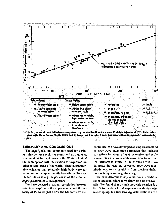



The  $m_{\rm b}$ : M, relation, commonly used for distinguishing between explosive events and earthquakes, is anomalous for explosions in the Western United States compared with the relation for explosions in other testing areas of the world. There is considerable evidence that relatively high body-wave attenuation in the upper mantle beneath the Western United States is a principal cause of the different  $m_h$ :  $M_s$  relation for NTS explosions.

We have detected a strong correlation between seismic absorption in the upper mantle and the velocity of P<sub>n</sub> waves just below the Mohorovicic discontinuity. We have developed an empirical method of bedy-wave magnitude correction that includes corrections for attenuation at the receiver and at the source, plus a source-depth correction to account for interference effects in the P-wave arrival. We designate the resulting corrected body-wave magnitude  $m<sub>O</sub>$ , to distinguish it from previous definitions of body-wave magnitude, m<sub>h</sub>.

We have determined  $m<sub>O</sub>$  values for a worldwide set of large explosions for which yield data are available. We found that a single  $m<sub>O</sub>$ ; yield relation is a fair fit to the data for all explosions with high seismic coupling, but that two  $m<sub>O</sub>$ ; yield relations are a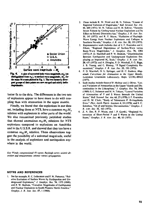

better fit to the data. The differences in the two sets of explosions appear to have more to do with coupling than with attenuation in the upper mantle.

Finally, we found that the explosions in our data set, including those at NTS, have a common  $m_0$ :  $M_s$ relation with explosions in other parts of the world. We also reexamined previously published studies that showed anomalous  $m_b$ : $M_s$  relations for NTS explosions compared to explosions on Amchitka and in the U.S.S.R. and showed that they too have a common  $m_0$ :  $M_s$  relation. These observations suggest the possibility of a universal magnitude, useful in the analysis of explosions and earthquakes anywhere in the world.

Key Words: compressional (P) waves: Ravleigh waves: seismic detection and measurement; seismic waves-propagation.

#### **NOTES AND REFERENCES**

1. See for example, R. C. Leiberman and P. W. Pomeroy, "Relative Excitation of Surface Waves by Earthquakes and Underground Explosions," J. Geophys. Res. 74, 1575 (1969); and P. W. Basham, "Canadian Magnitudes of Earthquakes and Nuclear Explosions in South-Western North America.' Geophys. J. R. Astr. Soc. 17, 1 (1969).

- These include R. W. Ward and M. N. Toksoz. "Causes of  $2.$ Regional Variation of Magnitudes," Bull. Seismol. Soc. Am. 61. 649 (1971); M. N. Toksoz and H. H. Kehrer. "Tectonic Strain Release by Underground Nuclear Explosions and Its Effect on Seismic Discrimination," Geophys. J. R. Astr. Soc. 31, 141 (1972); and R. P. Masse, "Radiation of Rayleigh-Wave Energy from Nuclear Fxplosions and Collapse in Southern Nevada," Geophys. J. R. Astr. Soc. 32, 155 (1973).
- 3. Representative work includes that of J. F. Evernden and J. Filson, "Regional Dependence of Surface-Wave versus Body-Wave Magnitudes," J. Geophys. Res. 76, 3303 (1971); P. D. Marshall and P. W. Basham, "Discrimination Between Earthquakes and Underground Explosions Employing an Improved M, Scale," Geophys J. R. Astr. Soc. 28, 431 (1972); and A. Douglas, P. D. Marshall, P. G. Biggs, J. B. Young, and C. Blamey, "P Signal Complexity Reexamined," Geopleys. J. R. Astr. Soc. 33, 195 (1973).
- $4.$ P. D. Marshall, D. L. Springer, and H. C. Rodean, Magnitude Corrections for Attenuation in the Upper Mantle, Lawrence Livermore Laboratory, Rept. UCRL-80423  $(1977).$
- 5. Such studies include those of P. Molnar and J. Oliver. "Lateral Variations of Attenuation in the Upper Mantle and Discontinuities in the Lithosphere," J. Geophys. Res. 74, 2648 (1969); S. C. Solomon and M. N. Toksoz, "Lateral Variation of Attenuation of P and S Waves Beneath the United States," Bull. Seismol. Soc. Am. 61, 27 (1970); J. F. Evernden and D. M. Clark, "Study of Teleseismic P. H-Amplitude Data," Phys. Earth Planet. Interiors 4, 24 (1970); and S. C. Solomon, "On Q and Seismic Discrimination," Geophys. J. R. Astr. Soc. 31, 163 (1972).
- 6. Z. A. Der, R. P. Masse, and *!*, P. Gurski, "Regional Attenuation of Short-Period P and S Waves in the United States," Geophys. J. R. Astr. Soc. 40, 85 (1975).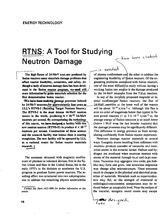## **RTNS: A Tool for Studying Neutron Damage**

The high fluxes of 14-MeV neut.ons produced by fusion reactors cause materials damage problems that **affect reactor feasibility, economics, and safety. Al-** i though a body of neutron damage data has been developed in the fission reactor program, we-need still **more information'to guide materials selection for the first demonstration fusion reactor.** 

**AVe-have been studying damage processes induced** by 14-MeV neutrons for approximately four years at **LLL's RTNS-1 (Rotating Target Neutron Source). The RTNS-I is the most intense 14-MeV neutron**  source in the world, producing  $6 \times 10^{12}$  14-MeV **neutrons per second. By extrapolating the technology of this source, we hava designee), a facility** 'with **two** \ new neutron sources (RTNS-II) to produce 4  $\times$  10  $^{12}$ **neutrons per second. Construction of these sources and the research facility that houses them is nearing**  completion. The new facility will be operated by LLL **as a national center for fusion reactor materials research,** 

The successes obtained with magnetic confinement of plasmas in tokamak devices, first in the Soviet Union and then in the United States, led in the early 1970's to the decision to accelerate the U.S. program to produce fusion power reactors. The resulting effort was structured into two subprograms: one to address the remaining physics uncertainties

-is needed of plasma confinement and the other to address the engineering feasibility of fusion reactors. Of the engineering problems associated with fusion reactors, one of the most difficult to study without having a working fusion test reactor is the damage produced by the  $14-MeV$  neutrons from the  $T(d,n)$  reaction.

; *WllieA-*

In any of the currently proposed magnetic or inertial confinement fusion reactors, the flux of 14-MeV neutrons at the inner wall of the reactor will be about 10<sup>14</sup>  $n/cm<sup>2</sup>$  s. Although this flux is over an order of magnitude below that typical in fission power reactors (1 to  $3 \times 10^{15}$  n/cm<sup>2</sup>·s), the average energy of fission neutrons is so much lower (below 1 MeV even for fast breeder reactors) that the damage processes may be significantly different. This difference in energy prevents us from extrapolating confidently from fission reactor experience.

Neutrons damage reactor materials in several ways. Energetic atoms recoiling from collisions with neutrons produce cascades of vacancies and interstitial atoms in the material lattice. Helium and hydrogen are produced when neutrons interact with atoms of the material through  $(n,\alpha)$  and  $(n,p)$  reactions. Vacancies may aggregate into voids, gas bubbles may form and grow, and interstitial migration may change alloy microstructure. These processes result in changes in the physical and electrical properties of materials. Materials such as superconductors may fail, or the strength of structural or radiological-containment components may be reduced below an acceptable level. Near the surface of the material, energetic recoil atoms may escape

**\**   $Z_{\omega as}$  designed

*Contact Jay Davis I422-IS89) for further information on this article.*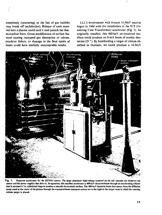completely (sputtering) or the lids of gas bubbles may break off (exfoliation). Release of such material into a plasma could cool it and quench the thermonuclear burn. Gross modification of surface features causing increased gas absorption or release, insulator failure, or damage to the final optics of lasers could have similarly unacceptable results.

LLL"s involvement with intense 14-MeV sources began in 1966 with the installation 01 the 1CT (Insulating Core Transformer) accelerator (Fig. I). As originally installed, this 400-keV air-insulated machine could produce an 8-mA beam of atomic deuterons (D  $^+$ ). By bombarding a target of tritium ab sorbed in titanium, we could produce a 14-MeV



**Fig. 1 . Dcuteron accelerator fo <sup>r</sup> the RTNS-I source The targe alumfnum high-railage terminal on the left contains the deuteron Ion**  source and the power supplies that drive it. In operation, this machine accelerates a 400-keV deuteron beam through an accelerating column **that is surround** *by* **cylindrical rings to produce a smooth electrostatic surface. The 400-keV deuteron beam then passes from the diffusion**  pump stand at the center of the picture through the evacuated-beam transport system out to the right to the target room in which the rotating **tritium target is placed.**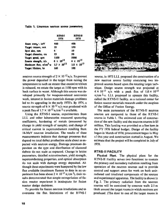Table 1. Livermore neutron source parameters.

|                                     | <b>RTNS-I</b><br>1976 | RTNS-II<br>1978      |
|-------------------------------------|-----------------------|----------------------|
| Beam eners . keV                    | 400                   | 400                  |
| Target current, mA                  | 25                    | 150                  |
| Spot size, mm                       | 6.1                   | 10                   |
| Target diameter, cm                 | 23                    | 50                   |
| Target speed, rpm                   | 1100                  | 5000                 |
| Source strength, n/s                | $6 \times 10^{12}$    | $4 \times 10^{13}$   |
| Maximum flux, n/cm <sup>2</sup> · s | $1.7 \times 10^{12}$  | $1.0 \times 10^{13}$ |
| Target lifetime, hr                 | 100                   | 100                  |

neutron source strength of 2  $\times$  10  $^{12}$  n/s. To prevent the power deposited in the target from raising the temperature to such an extent that excessive tritium is released, we rotate the target at 1100 rpm with its back surface in water, Although this source was developed primarily for weapons-related neutronics work, interest in fusion materials damage problems led to its upgrading in the early 1970's. By 1974, a source strength of  $6 \times 10^{12}$  n/s was produced with a peak flux of  $1.7 \times 10^{12}$  n/cm <sup>2</sup> s available.

Using the RTNS-I source, experimenters from LLL and other laboratories measured sputtering coefficients, hardening of metals (measured by change in yield strength of sample), and change of critical current in superconductors resulting from 14-MeV neutron irradiation. The results of these measurements indicate that damage processes that depend on total defect production scale about as expected with neutron energy. Damage processes dependent on the type and distribution of clustered defects do not scale as expected. Change in lattice parameters, detailed microstruclure, yield strength, superconducting properties, and optical absorption do not scale with damage energy deposited. Although these experiments were hampered by the low flux available (maximum fluence to date in an experiment has been about  $2 \times 10^{-17}$  n/cm <sup>2</sup>), their results demonstrated that simple extrapolation of fission reactor experience is inadequate for fusion reactor design decisions.

To provide for fusion neutron irradiations and to overcome the flux limitations of the RTNS-I



source, in 1973 LLL proposed the construction of a new *neulron* source facility containing two improved sources based upon the rotating target technique. Design source strength was projected at  $4 \times 10^{13}$  n/s with a peak flux of  $1.0 \times 10^{13}$  $n/cm<sup>2</sup>$  s. LLL proposed to operate this facility, called the RTNS-II facility, as a national center for fusion reactor materials research under the auspices of the Office of Fusion Energy.

The main parameters of the RTNS-II neutron sources are compared to those of the RTNS-I source in Table 1. The estimated cost of construction of the new facility and the neutron sources is SS million. This funding was provided as a line item in the FY 1976 federal budget. Design of the facility began in March of 1976; procurement began in May of that year and construction started in August. We estimate that the project will be completed in July of 1978.

#### **RTNS-II FACILITY**

**Physical Plant.** The physical plant for the RTNS-II Facility serves two functions: to contain the primary and secondary radiation resulting from operation of the neutron sources and to provide control and support areas for work on both unirradiated and irradiated components of the sources and experimental apparatus. The facility is shown in Fig. 2. The primary radiation from the neutron sources will be contained by concrete walls 2.5 m thick around the target rooms in which neutrons are produced. (The door to one of the target rooms is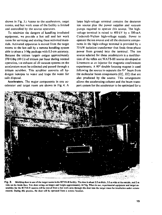shown in Fig. 3.) Access lo the accelerators, target rooms, and hot work areas of the facility is limited and controlled by the source operators.

To minimize the dangers of handling irradiated equipment, we provide a hot cell and hot work room for servicing and storing these activated materials. Activated apparatus is moved from the target rooms to the hot cell by a remote handling system able to place a 3-Mg package with 0.5-cm accuracy. Because the tritium targets outgas approximately 370 GBq (10 Ci) of tritium per hour during normal operation, t.ie exhaust of all vacuum systems on the accelerators must be collected and passed through a tritium scrubber. This scrubber converts all hydrogen isotopes to water and traps the water for safe disposal.

Accelerators. The major components in one accelerator and target room are shown in Fig. 4. A

large high-voltage terminal contains the deuteron ion source plus the power supplies and vacuum pumps required to operate this source. The highvoltage terminal is raised to 400 kV by a 300-mA Cockcroft-Walton high-voltage supply. Power lo operate the ion source and all the electronic components in the high-voltage terminal is provided by a 75-kW isolation transformer that feeds three-phase power from ground into the terminal. The ion source selected for these accelerators is a modification of the reflex arc MATS-lll source developed at Livermore as an injector for magnetic confinement experiments. A 90° double focusing magnet is used following the source to separate the  $D^+$  beam from the molecular beam components ( $D<sup>+</sup>$ ,  $D<sup>+</sup>$ ) that are also produced by the source. This arrangement allows the accelerating column and the beam transport system for the accelerator to be optimized for a



**Fig. 3 . Shielding door to one of the target rooms in the RTN'S-II facility. The door is about 2.5 m thick, 3.5 m wide at the outside, and 2 m wide on the inside face. This door swings on hinges and weighs approximately 44 Mg. When in use, experimental equipment and target assemblies for the RTNS-11 sources will be moved from a hot work area through this door into the target room for irradiation under remote control. During this process, the door will be operated from a remote location.**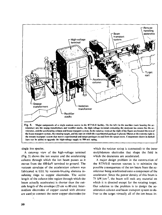

single ion species.

A cutaway view of the high-voltage terminal (Fig. 5) shows the ion source and the accelerating column through which the ion beam passes as it moves from the 400-keV terminal to ground. The vacuum envelope of the acceleration column was fabricated at LLL by vacuum-brazing alumina insulating rings to copper electrodes. The active length of the column (the region through which the beam actually accelerates) is shorter than the outside length of the envelope (25 cm vs 80 cm). Intermediate electrodes of copper coated with chrome are used to connect the outer copper electrodes (to

which the resistor string is connected) to the inner molybdenum electrodes that shape the field in which the deuterons are accelerated.

A major design problem in the construction of the RTNS-ll neutron sources is to minimize the possible consequences of the ion beam from the accelerator being misdirected onto a component of the accelerator. Since the power density of this beam is 75 kW/cm<sup>2</sup>, the beam will melt any material on which it is directed except for the rotating target. Our solution to the problem is to design the acceleration column and beam transport system to deliver to the target virtually all of the ion beam in-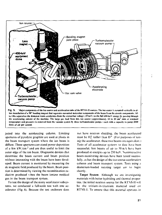

jected into the accelerating column. Limiting apertures of pyrolytic graphite are used at places in the beam transport system where the ion beam is diffuse. These apertures can stand power deposition of a few  $kW/cm<sup>2</sup>$  and are thus useful to limit the outer edge of the ion beam. Diagnostic devices that determine the beam current and beam position without interacting with the beam have been developed. Beam current is monitored by measuring the dc magnetic field produced by the beam. Beam position is determined by viewing the recombination radiation produced when the beam ionizes residual gas in the beam transport system.

To test the design of the many accelerator subsystems, we conducted a full-scale test with one accelerator (Fig. 6). Because the test enclosure does

not have neutron shielding, the beam accelerated must be  $H_2^+$  rather than  $D^+$  (For purposes of testing the accelerator, these two beams are equivalent.) Tests of all accelerator systems to date have been successful. Ion beams of up to 50 mA have been produced at energies up lo 250 keV. Nonintcractivc beam-monitoring devices have been tested successfully, as has the design of the ion source acceleration column and beam transport system. Tests using a deuterium-loaded rotating target are to begin shortly.

**Target System.** Allhough we are investigating materials with better hydriding and thermal properties, the initial neutron source for the RTNS-ll will be the tritium-in-titanium material used on RTNS-I. To ensure that this material operates in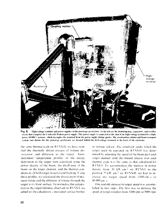

High-voltage terminal and power supplies of the prototype accelerator. To the left are the insulating legs, capacitors, and rectifier Fig. 6. stacks that comprise the Cockeroft-Walton power supply. This power supply is connected to the skin of the high-voltage terminal by a highpower 10 000-92 resistor, which decouples the terminal from the power supply during sparks. The acceleration column and beam transport system enot shown) for this prototype accelerator are located helind the high-voltage terminal at the back of the enclosure.

the same thermal evele on RTNS-II, we have modeled the thermally driven process of tritium dissociation and diffusion in the target. 1medependent temperature profiles of the energy deposition in the farget were calculated using the power density of the beam, the dwell time of the beam on the target element, and the thermal conductivity of both target material and backing. Using these profiles, we calculated the dissociation of titanium tritide and the diffusion of tritium through the target to its front surface. To normalize this calculation to the target lifetimes observed on RTNS-L we added to the calculation a measured surface barrier

to tritium release. The condition under which the target must be operated on RTNS-II was determined by adjusting the speed of the beam past each target element until the tritium release over each thermal cycle was the same as that calculated for RTNS-L To accommodate the increase in power density from 30 kW cm<sup>2</sup> on RTNS-I to the planned 75 kW cm<sup>2</sup> on RTNS-H, we had to increase the target speed from 1100 cm s to 10.000 cm s.

This tenfold increase in target speed was accomplished in two steps. The first was to increase the speed of target rotation from 1100 rpm to 5000 rpm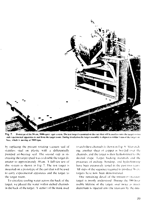

Fig. 7. Prototype of the 50-cm, 5000-rpm v reet system. The test target is mounted on the cart that will be used to carry the target system and experimental apparatus to and from the target room. During irradiation the target assembly is aligned to within I mm of the target surface, which is moving at 5000 rpm.

by replacing the present rotating vacuum seal of stainless steel on piaslic with a diticrentialk pumped air-hearing seal, the second step in increasing the target spued was lo double the target diameter to approximately 50 cm. A full-size test of this system is shown in Fig. 7. The test target is mounted on a prototype ol the carl that will be used to earn expeiimental apparatus and the target to the target room.

To circulate cooling water across the back of the target, we placed the water within etched channels in the back of the target. A section of the mask used to etch these channels is shown in  $I$  ig  $S$ . After etchmg, another sheet of copper is bonded over the channels, and the target is then hydroformed to the desired shape I arget backing materials and the processes of etching, honding, and hydrolorming have been extensively tested in the past two years MI steps of the sequence required to produce 56 cm targets have now been demonstrated.

One remaining detail of the tritium-in-titamum target is poorly understood. During the H00-hour usable lifetime of the target, over twice as much deuterium is injected into the titanium by the deu-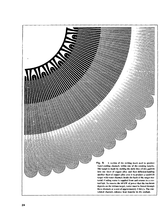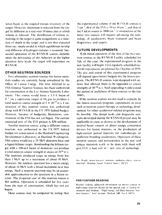teron beam as the original tritium inventory of the target. However, deuterium is released from the target by diffusion at a rate over 10 limes that at which tritium is released. The distribution of tritium remaining in the target is quite nonuniform as a function ol depth in the target and is not that expected from any simple model in which equilibrium mixing and diffusion of hydrogen isotopes is assumed. Successful operation of the RTNS-II sources depends upon the persistence of this behavior at the higher deuleron dose levels the target will experience on RTNS-II.

#### **OTHER NEUTRON SOURCES**

Iwu alternative neutron sources for fusion malerials studies are currently being considered by the Office of *\* usion 1 nerg\. The first, referred to as INS (Intense Neutron Source), has been authorized for construction al the l.os Alamos Scientific Laboratory. This source would focus a 1.5-A beam of I<sup>+</sup> on a supersonic target of D<sub>2</sub> gas to produce a total neutron source strength of  $\bar{1} \times 10^{15}$  n/s. Construction of this neutron source was authorized along with RTNS-II in the FY 1976 federal budget. However, because of budgetary limitations, construction of the INS has not yet began. The current estimated cost of the INS project is S30 million.

Another neutron source, using a different source reaction, was authorized in the FY 1977 federal budget tor construction at the Hanford Engineering Development Laboratory at Hanford, Washington. This source would use a 35-MeV deuteron linac and a liquid-lithium target. Hombarding the lithium target with a 100-mA beam *o[* deulerons can produce a total neutron source strength in excess of  $10^{16}$  n/s. The neutrons produced range in energy from less than  $1 \text{ MeV}$  up to a maximum of about 45 MeV. However, the neutron spectrum has a mean energy of about 14 MeV with a broad maximum near that energy. Such a neutron spectrum may be an acceptable approximation to ihe spectrum in a fusion reactor. The projected cost of this neutron source is \$83 million. Operation is scheduled for five years from the start of construction, which has not yet begun.

These sources may be compared by noting that

the experimental volume of the R 1 NS-II sources is 2 cm  $\frac{3}{2}$  that of the INS is 10 to 50 cm  $\frac{3}{2}$  and that of the Li(d.n) source is  $1000 \text{ cm}^{-3}$ . Construction of the hitler two sources will require advancing the technology of accelerators, beam transport and beam diagnostics, and targets.

#### **FUTURE DEVELOPMENTS**

With initial operation of the first of the two neulron sources in the RTNS-II 1 aeilitv scheduled for .lul\ of this jear. the experimental program in the new facility will begin, first regularlv scheduled materials experiments are planned for October of 1978. The size and extent of this experimental program will depend unon future budgets for the fusion program, The RTNS-II sources were designed with options that allowed them to be upgraded to source strengths of  $10^{-14}$  n/s. Such upgrading would extend the period of usefulness of these sources to the late 1980's

If the neutron sources are not used to capacity by the fusion materials program, experiments in areas such as neutron cancer therapy or technology development for other accelerator-related programs ma\ be possible. The design tools and diagnostic concepts developed during the RTNS-II project may be applicable in areas as diverse as the development of neutral beam sources or direct energy conversion devices for fusion reactors, or the production of high-current pulsed injectors for radiolherapv or spallation breeding accelerators. Operation of these neulron sources and participation in the new and unique materials work to be done with them will give **1.1.1.** a lead role in *•'•* new area of tcchnologv.

A.c. *Mards*, hostan reactors, neutrons -radiation effects, reactor materials, Rotating Target Scutton Source, R13.8

#### **FOR FURTHER READING**

Readers wisliing additional information on intense sources *of* Ingh-energy neutrons should see the special issue of Vuclear In*straments and Methods*. "High I nergy and High Intensity Neuiron Sources." Viid. Instrum. Methods 145. No. 1 (1977).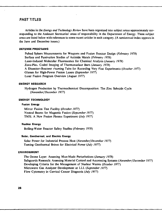### **PAST TITLES**

**Articles in the** *Energy and Technology Review* **have been organized into subject areas approximately corresponding to the Assistant Secretaries' areas of responsibility in the Department of Energy. These subject areas are listed below with references to some recent articles in each category. (A semiannual index appears in the June and December issues.)** 

#### **DEFENSE PROGRAMS**

**Pulsed Sphere Measurements for Weapons and Fusion Reactor Design** *(February 1978)*  **Surface and Passivation Studies of Actinide Metals** *(February 1978)*  **Laser-Induced Molecular Fluorescence for Chemical Analysis** *(January 1978)*  **Zone-Plaic Coded Imaging of Thermonuclear Burn** *(January 1978)*  **A Dissector-Restorer rraming Tube for Recording Very Fast Experiments** *(October 1977)*  **Glasses for High-Power Fusion Lasers** *(September 1977)*  **Laser Fusion Program Overview** *(August 1977)* 

#### **ENERGY RESEARCH**

**Hydrogen Production by Thermochemical Decomposition: The Zinc Selenide Cycle**  *(November/December 1977)* 

#### **ENERGY TECHNOLOGY**

#### **Fusion Energy**

**Mirror Fusion Test Facility** *(October 1977)*  **Neutral Beams for Magnetic Fusion** *(September 1977)*  **TMX: A New Fusion Plasma Experiment** *(July 1977)* 

#### **Nuclear Energy**

**Boiling-Water Reactor Safety Studies** *(February 1978)* 

#### **Solar, Geothermat, and Electric Energy**

**Solar Power for Industrial Process Heat** *(November/December 1977)*  **Taming Geothermal Brines for Electrical Power** *(July 1977)* 

#### **ENVIRONMENT**

**The Ozone Layer: Assessing Man-Made Perturbations** *(January 1978)*  **Safeguards Research: Assessing Material Control and Accounting Systems** *(November/December 1977)*  **Developing Criteria for the Management of Nuclear Wastes** *(October 1977)*  **Microwave Gas Analyzer Development at LLL** *(September 1977)*  **Flow Cytometry in Cervical Cancer Diagnosis** *(July 1977)*